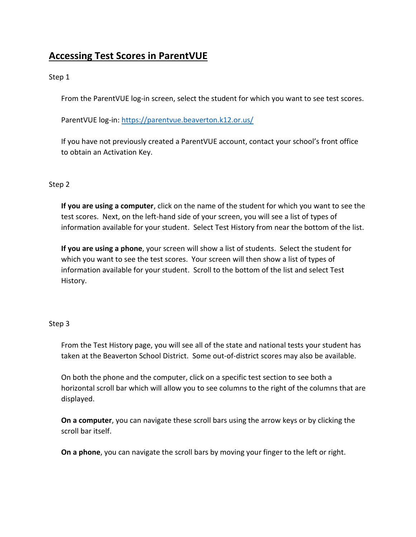# **Accessing Test Scores in ParentVUE**

# Step 1

From the ParentVUE log-in screen, select the student for which you want to see test scores.

ParentVUE log-in:<https://parentvue.beaverton.k12.or.us/>

If you have not previously created a ParentVUE account, contact your school's front office to obtain an Activation Key.

# Step 2

**If you are using a computer**, click on the name of the student for which you want to see the test scores. Next, on the left-hand side of your screen, you will see a list of types of information available for your student. Select Test History from near the bottom of the list.

**If you are using a phone**, your screen will show a list of students. Select the student for which you want to see the test scores. Your screen will then show a list of types of information available for your student. Scroll to the bottom of the list and select Test History.

### Step 3

From the Test History page, you will see all of the state and national tests your student has taken at the Beaverton School District. Some out-of-district scores may also be available.

On both the phone and the computer, click on a specific test section to see both a horizontal scroll bar which will allow you to see columns to the right of the columns that are displayed.

**On a computer**, you can navigate these scroll bars using the arrow keys or by clicking the scroll bar itself.

**On a phone**, you can navigate the scroll bars by moving your finger to the left or right.